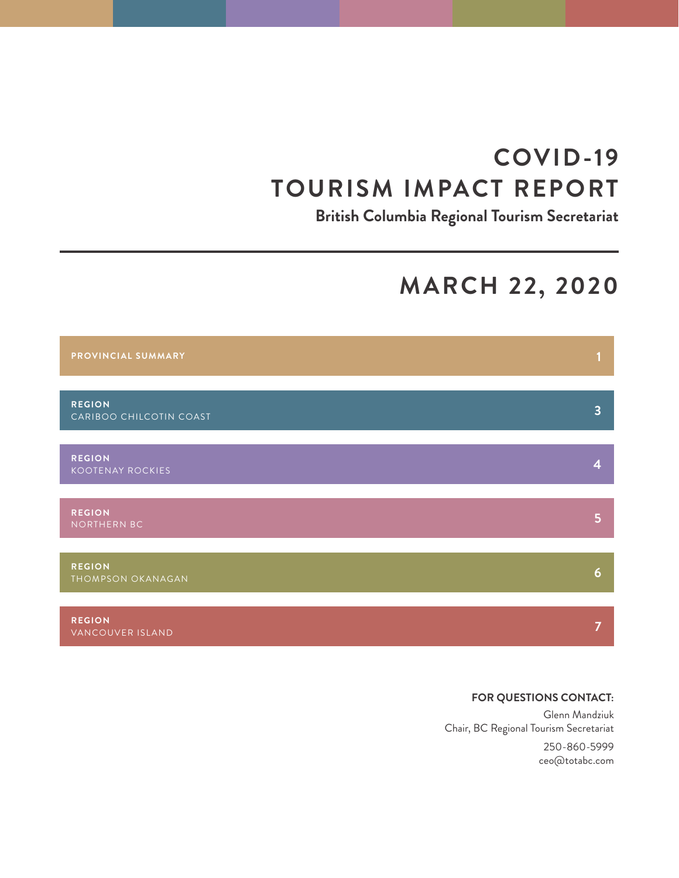# **COVID-19 TOURISM IMPACT REPORT**

**British Columbia Regional Tourism Secretariat**

# **MARCH 22, 2020**



# **FOR QUESTIONS CONTACT:**

Glenn Mandziuk Chair, BC Regional Tourism Secretariat

> 250-860-5999 ceo@totabc.com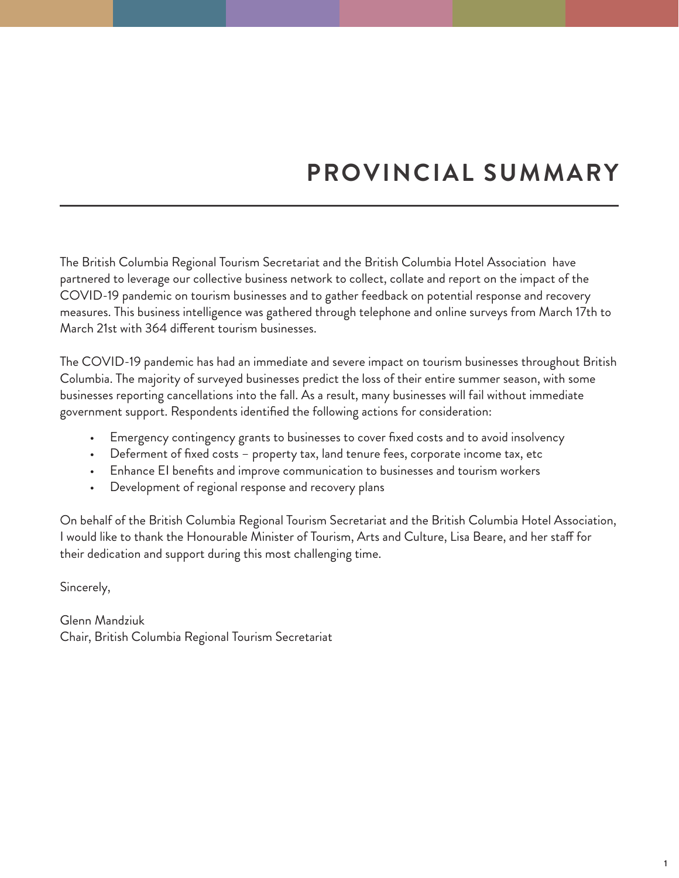# **PROVINCIAL SUMMARY**

The British Columbia Regional Tourism Secretariat and the British Columbia Hotel Association have partnered to leverage our collective business network to collect, collate and report on the impact of the COVID-19 pandemic on tourism businesses and to gather feedback on potential response and recovery measures. This business intelligence was gathered through telephone and online surveys from March 17th to March 21st with 364 different tourism businesses.

The COVID-19 pandemic has had an immediate and severe impact on tourism businesses throughout British Columbia. The majority of surveyed businesses predict the loss of their entire summer season, with some businesses reporting cancellations into the fall. As a result, many businesses will fail without immediate government support. Respondents identified the following actions for consideration:

- Emergency contingency grants to businesses to cover fixed costs and to avoid insolvency
- Deferment of fixed costs property tax, land tenure fees, corporate income tax, etc
- Enhance EI benefits and improve communication to businesses and tourism workers
- Development of regional response and recovery plans

On behalf of the British Columbia Regional Tourism Secretariat and the British Columbia Hotel Association, I would like to thank the Honourable Minister of Tourism, Arts and Culture, Lisa Beare, and her staff for their dedication and support during this most challenging time.

Sincerely,

Glenn Mandziuk Chair, British Columbia Regional Tourism Secretariat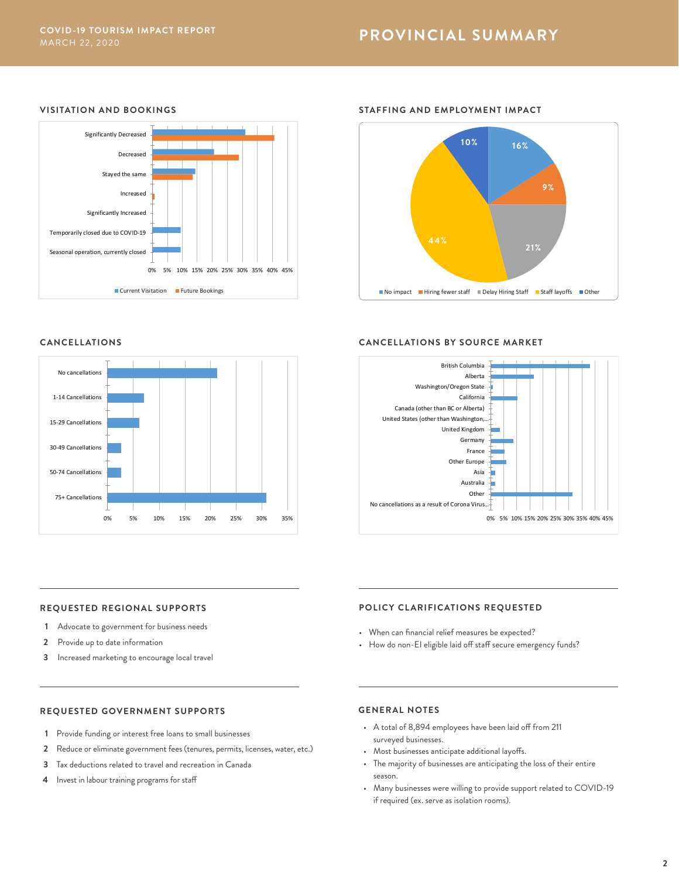# **PROVINCIAL SUMMARY**

**STAFFING AND EMPLOYMENT IMPACT**

# **VISITATION AND BOOKINGS**



# **44% 9% 16% 10%**

 $\blacksquare$  No impact  $\blacksquare$  Hiring fewer staff  $\blacksquare$  Delay Hiring Staff  $\blacksquare$  Staff layoffs  $\blacksquare$  Other

**21%**

# **CANCELLATIONS**



# **CANCELLATIONS BY SOURCE MARKET**



#### **REQUESTED REGIONAL SUPPORTS**

- **1** Advocate to government for business needs
- **2** Provide up to date information
- **3** Increased marketing to encourage local travel

# **POLICY CLARIFICATIONS REQUESTED**

- When can financial relief measures be expected?
- How do non-EI eligible laid off staff secure emergency funds?

#### **REQUESTED GOVERNMENT SUPPORTS**

- **1** Provide funding or interest free loans to small businesses
- **2** Reduce or eliminate government fees (tenures, permits, licenses, water, etc.)
- **3** Tax deductions related to travel and recreation in Canada
- **4** Invest in labour training programs for staff

# **GENERAL NOTES**

- A total of 8,894 employees have been laid off from 211 surveyed businesses.
- Most businesses anticipate additional layoffs.
- The majority of businesses are anticipating the loss of their entire season.
- Many businesses were willing to provide support related to COVID-19 if required (ex. serve as isolation rooms).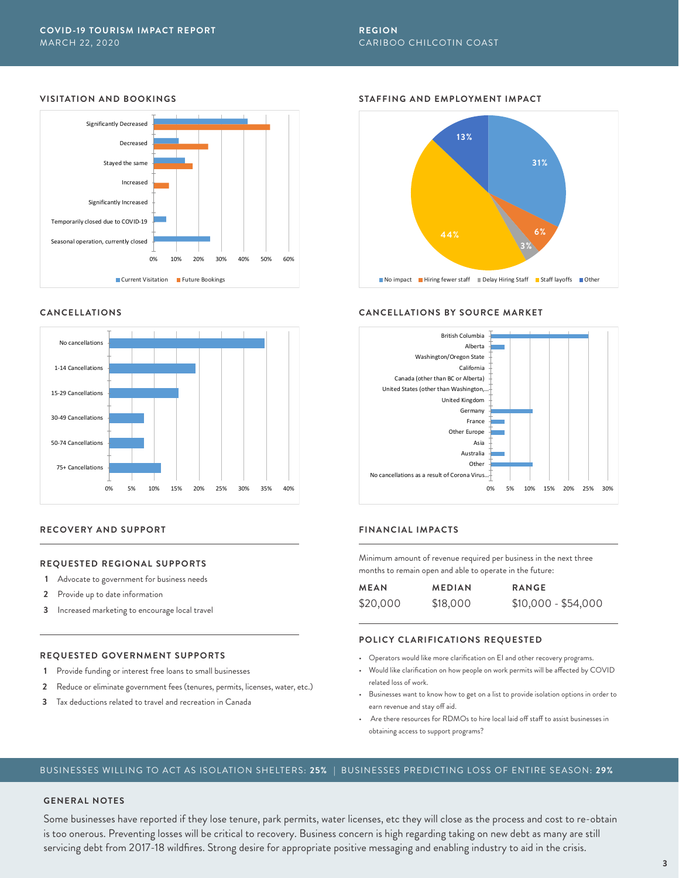# **REGION** CARIBOO CHILCOTIN COAST

# **VISITATION AND BOOKINGS**



#### **CANCELLATIONS**



#### **RECOVERY AND SUPPORT**

#### **REQUESTED REGIONAL SUPPORTS**

- **1** Advocate to government for business needs
- **2** Provide up to date information
- **3** Increased marketing to encourage local travel

#### **REQUESTED GOVERNMENT SUPPORTS**

- **1** Provide funding or interest free loans to small businesses
- **2** Reduce or eliminate government fees (tenures, permits, licenses, water, etc.)
- **3** Tax deductions related to travel and recreation in Canada

#### **STAFFING AND EMPLOYMENT IMPACT**



#### **CANCELLATIONS BY SOURCE MARKET**



# **FINANCIAL IMPACTS**

Minimum amount of revenue required per business in the next three months to remain open and able to operate in the future:

| <b>MEAN</b> | <b>MEDIAN</b> | <b>RANGE</b>        |
|-------------|---------------|---------------------|
| \$20,000    | \$18,000      | \$10,000 - \$54,000 |

#### **POLICY CLARIFICATIONS REQUESTED**

- Operators would like more clarification on EI and other recovery programs.
- Would like clarification on how people on work permits will be affected by COVID related loss of work.
- Businesses want to know how to get on a list to provide isolation options in order to earn revenue and stay off aid.
- Are there resources for RDMOs to hire local laid off staff to assist businesses in obtaining access to support programs?

# BUSINESSES WILLING TO ACT AS ISOLATION SHELTERS: **25%** | BUSINESSES PREDICTING LOSS OF ENTIRE SEASON: **29%**

# **GENERAL NOTES**

Some businesses have reported if they lose tenure, park permits, water licenses, etc they will close as the process and cost to re-obtain is too onerous. Preventing losses will be critical to recovery. Business concern is high regarding taking on new debt as many are still servicing debt from 2017-18 wildfires. Strong desire for appropriate positive messaging and enabling industry to aid in the crisis.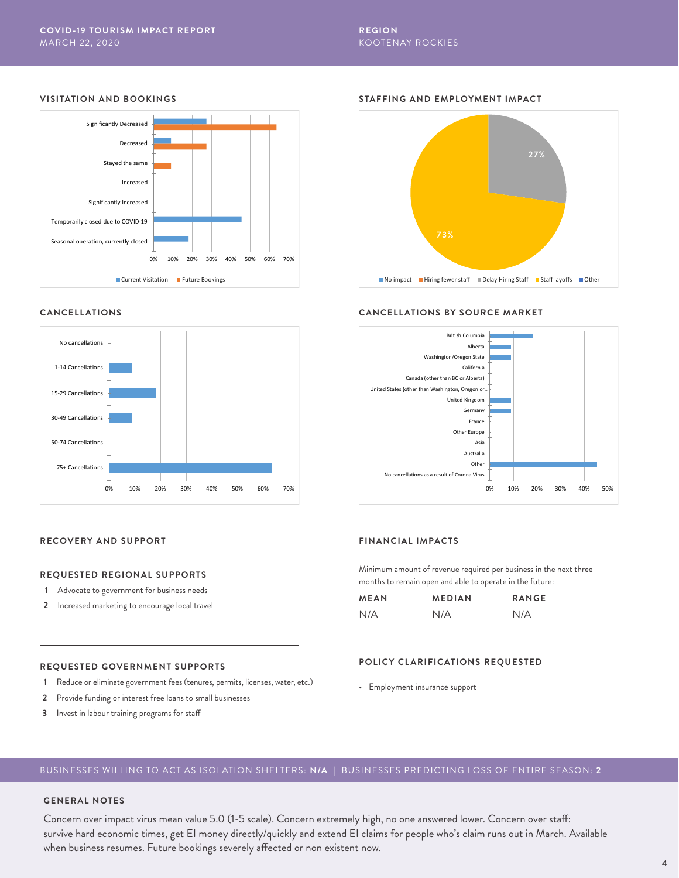# **REGION** KOOTENAY ROCKIES

# **VISITATION AND BOOKINGS**



#### **CANCELLATIONS**





#### **FINANCIAL IMPACTS**

Minimum amount of revenue required per business in the next three months to remain open and able to operate in the future:

0% 10% 20% 30% 40% 50%

| <b>MEAN</b> | <b>MEDIAN</b> | <b>RANGE</b> |
|-------------|---------------|--------------|
| N/A         | N/A           | N/A          |

#### **POLICY CLARIFICATIONS REQUESTED**

• Employment insurance support

# **REQUESTED GOVERNMENT SUPPORTS**

**REQUESTED REGIONAL SUPPORTS**

**1** Advocate to government for business needs **2** Increased marketing to encourage local travel

**RECOVERY AND SUPPORT**

- **1** Reduce or eliminate government fees (tenures, permits, licenses, water, etc.)
- **2** Provide funding or interest free loans to small businesses
- **3** Invest in labour training programs for staff

## BUSINESSES WILLING TO ACT AS ISOLATION SHELTERS: **N/A** | BUSINESSES PREDICTING LOSS OF ENTIRE SEASON: **2**

# **GENERAL NOTES**

Concern over impact virus mean value 5.0 (1-5 scale). Concern extremely high, no one answered lower. Concern over staff: survive hard economic times, get EI money directly/quickly and extend EI claims for people who's claim runs out in March. Available when business resumes. Future bookings severely affected or non existent now.

# **STAFFING AND EMPLOYMENT IMPACT**



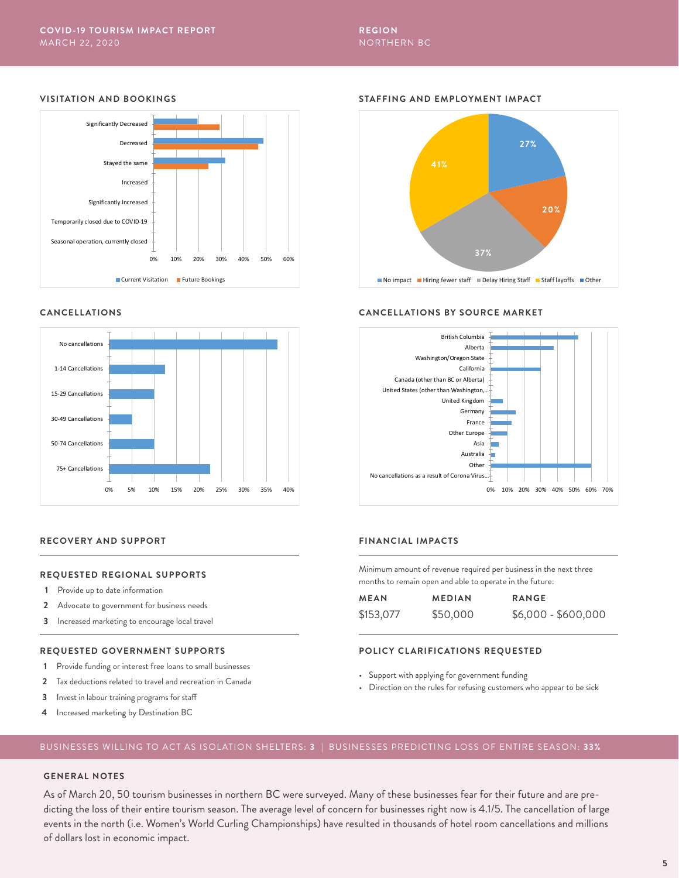# **VISITATION AND BOOKINGS**



#### **CANCELLATIONS**



#### **RECOVERY AND SUPPORT**

#### **REQUESTED REGIONAL SUPPORTS**

- **1** Provide up to date information
- **2** Advocate to government for business needs
- **3** Increased marketing to encourage local travel

#### **REQUESTED GOVERNMENT SUPPORTS**

- **1** Provide funding or interest free loans to small businesses
- **2** Tax deductions related to travel and recreation in Canada
- **3** Invest in labour training programs for staff
- **4** Increased marketing by Destination BC

#### **STAFFING AND EMPLOYMENT IMPACT**



#### **CANCELLATIONS BY SOURCE MARKET**



# **FINANCIAL IMPACTS**

Minimum amount of revenue required per business in the next three months to remain open and able to operate in the future:

| <b>MEAN</b> | <b>MEDIAN</b> | <b>RANGE</b>        |
|-------------|---------------|---------------------|
| \$153,077   | \$50,000      | $$6,000 - $600,000$ |

#### **POLICY CLARIFICATIONS REQUESTED**

- Support with applying for government funding
- Direction on the rules for refusing customers who appear to be sick

# BUSINESSES WILLING TO ACT AS ISOLATION SHELTERS: **3** | BUSINESSES PREDICTING LOSS OF ENTIRE SEASON: **33%**

# **GENERAL NOTES**

As of March 20, 50 tourism businesses in northern BC were surveyed. Many of these businesses fear for their future and are predicting the loss of their entire tourism season. The average level of concern for businesses right now is 4.1/5. The cancellation of large events in the north (i.e. Women's World Curling Championships) have resulted in thousands of hotel room cancellations and millions of dollars lost in economic impact.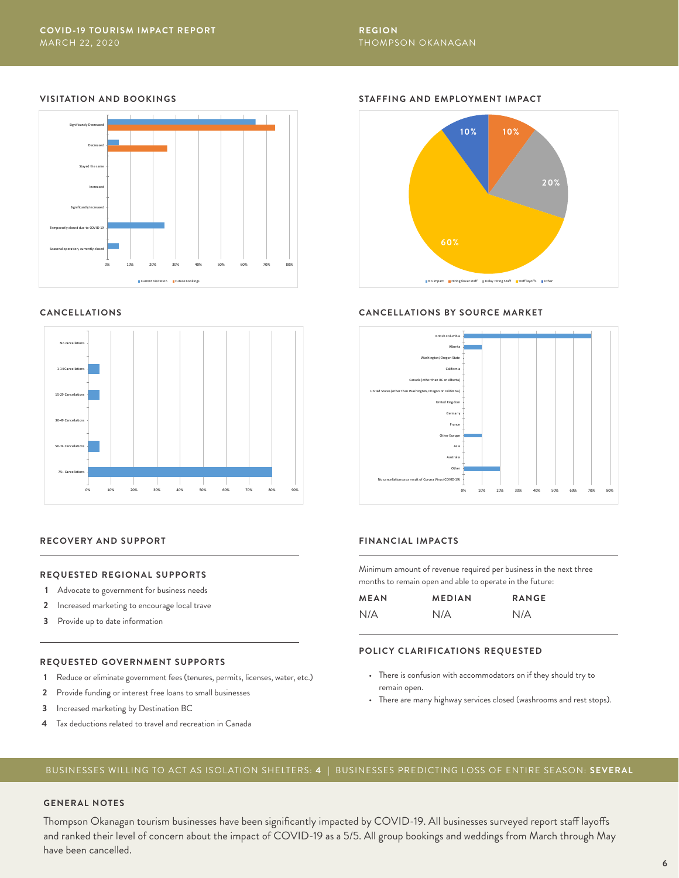# **REGION** THOMPSON OKANAGAN

# **VISITATION AND BOOKINGS**



#### **CANCELLATIONS**



#### **RECOVERY AND SUPPORT**

#### **REQUESTED REGIONAL SUPPORTS**

- **1** Advocate to government for business needs
- **2** Increased marketing to encourage local trave
- **3** Provide up to date information

#### **REQUESTED GOVERNMENT SUPPORTS**

- **1** Reduce or eliminate government fees (tenures, permits, licenses, water, etc.)
- **2** Provide funding or interest free loans to small businesses
- **3** Increased marketing by Destination BC
- **4** Tax deductions related to travel and recreation in Canada

# **STAFFING AND EMPLOYMENT IMPACT**



#### **CANCELLATIONS BY SOURCE MARKET**



# **FINANCIAL IMPACTS**

Minimum amount of revenue required per business in the next three months to remain open and able to operate in the future:

| <b>MEAN</b> | <b>MEDIAN</b> | <b>RANGE</b> |
|-------------|---------------|--------------|
| N/A         | N/A           | N/A          |

#### **POLICY CLARIFICATIONS REQUESTED**

- There is confusion with accommodators on if they should try to remain open.
- There are many highway services closed (washrooms and rest stops).

# BUSINESSES WILLING TO ACT AS ISOLATION SHELTERS: **4** | BUSINESSES PREDICTING LOSS OF ENTIRE SEASON: **SEVERAL**

#### **GENERAL NOTES**

Thompson Okanagan tourism businesses have been significantly impacted by COVID-19. All businesses surveyed report staff layoffs and ranked their level of concern about the impact of COVID-19 as a 5/5. All group bookings and weddings from March through May have been cancelled.